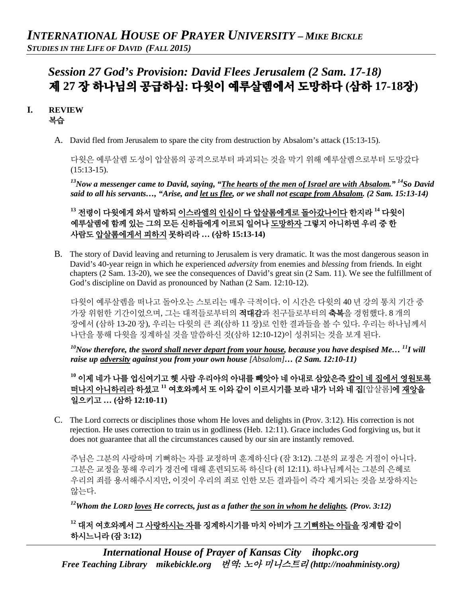# *Session 27 God's Provision: David Flees Jerusalem (2 Sam. 17-18)* 제 **27** 장 하나님의 공급하심**:** 다윗이 예루살렘에서 도망하다 **(**삼하 **17-18**장**)**

## **I. REVIEW**  복습

A. David fled from Jerusalem to spare the city from destruction by Absalom's attack (15:13-15).

다윗은 예루살렘 도성이 압살롬의 공격으로부터 파괴되는 것을 막기 위해 예루살렘으로부터 도망갔다  $(15:13-15)$ .

*13Now a messenger came to David, saying, "The hearts of the men of Israel are with Absalom." 14So David said to all his servants…, "Arise, and let us flee, or we shall not escape from Absalom. (2 Sam. 15:13-14)*

**<sup>13</sup>** 전령이 다윗에게 와서 말하되 이스라엘의 인심이 다 압살롬에게로 돌아갔나이다 한지라 **<sup>14</sup>** 다윗이 예루살렘에 함께 있는 그의 모든 신하들에게 이르되 일어나 도망하자 그렇지 아니하면 우리 중 한 사람도 압살롬에게서 피하지 못하리라 **… (**삼하 **15:13-14)**

B. The story of David leaving and returning to Jerusalem is very dramatic. It was the most dangerous season in David's 40-year reign in which he experienced *adversity* from enemies and *blessing* from friends. In eight chapters (2 Sam. 13-20), we see the consequences of David's great sin (2 Sam. 11). We see the fulfillment of God's discipline on David as pronounced by Nathan (2 Sam. 12:10-12).

다윗이 예루살렘을 떠나고 돌아오는 스토리는 매우 극적이다. 이 시간은 다윗의 40 년 강의 통치 기간 중 가장 위험한 기간이었으며, 그는 대적들로부터의 **적대감**과 친구들로부터의 <del>축복</del>을 경험했다. 8 개의 장에서 (삼하 13-20 장), 우리는 다윗의 큰 죄(삼하 11 장)로 인한 결과들을 볼 수 있다. 우리는 하나님께서 나단을 통해 다윗을 징계하실 것을 말씀하신 것(삼하 12:10-12)이 성취되는 것을 보게 된다.

*10Now therefore, the sword shall never depart from your house, because you have despised Me… 11I will raise up adversity against you from your own house [Absalom]… (2 Sam. 12:10-11)*

**<sup>10</sup>** 이제 네가 나를 업신여기고 헷 사람 우리아의 아내를 빼앗아 네 아내로 삼았은즉 칼이 네 집에서 영원토록 떠나지 아니하리라 하셨고 **<sup>11</sup>** 여호와께서 또 이와 같이 이르시기를 보라 내가 너와 네 집[압살롬]에 재앙을 일으키고 **… (**삼하 **12:10-11)**

C. The Lord corrects or disciplines those whom He loves and delights in (Prov. 3:12). His correction is not rejection. He uses correction to train us in godliness (Heb. 12:11). Grace includes God forgiving us, but it does not guarantee that all the circumstances caused by our sin are instantly removed.

주님은 그분의 사랑하며 기뻐하는 자를 교정하며 훈계하신다 (잠 3:12). 그분의 교정은 거절이 아니다. 그분은 교정을 통해 우리가 경건에 대해 훈련되도록 하신다 (히 12:11). 하나님께서는 그분의 은혜로 우리의 죄를 용서해주시지만, 이것이 우리의 죄로 인한 모든 결과들이 즉각 제거되는 것을 보장하지는 않는다.

*12Whom the LORD loves He corrects, just as a father the son in whom he delights. (Prov. 3:12)*

**<sup>12</sup>** 대저 여호와께서 그 사랑하시는 자를 징계하시기를 마치 아비가 그 기뻐하는 아들을 징계함 같이 하시느니라 **(**잠 **3:12)**

*International House of Prayer of Kansas City [ihopkc.org](http://www.ihopkc.org/) Free Teaching Library [mikebickle.org](http://www.mikebickle.org/)* 번역*:* 노아 미니스트리 *(http://noahministy.org)*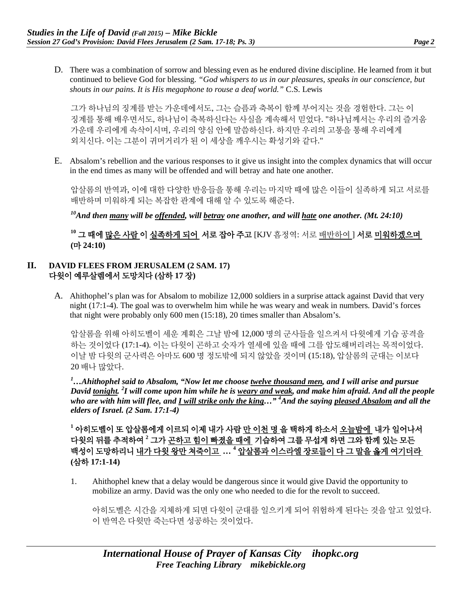D. There was a combination of sorrow and blessing even as he endured divine discipline. He learned from it but continued to believe God for blessing. *"God whispers to us in our pleasures, speaks in our conscience, but shouts in our pains. It is His megaphone to rouse a deaf world."* C.S. Lewis

그가 하나님의 징계를 받는 가운데에서도, 그는 슬픔과 축복이 함께 부어지는 것을 경험한다. 그는 이 징계를 통해 배우면서도, 하나님이 축복하신다는 사실을 계속해서 믿었다. "하나님께서는 우리의 즐거움 가운데 우리에게 속삭이시며, 우리의 양심 안에 말씀하신다. 하지만 우리의 고통을 통해 우리에게 외치신다. 이는 그분이 귀머거리가 된 이 세상을 깨우시는 확성기와 같다."

E. Absalom's rebellion and the various responses to it give us insight into the complex dynamics that will occur in the end times as many will be offended and will betray and hate one another.

압살롬의 반역과, 이에 대한 다양한 반응들을 통해 우리는 마지막 때에 많은 이들이 실족하게 되고 서로를 배반하며 미워하게 되는 복잡한 관계에 대해 알 수 있도록 해준다.

*10And then many will be offended, will betray one another, and will hate one another. (Mt. 24:10)*

**<sup>10</sup>** 그 때에 많은 사람 이 실족하게 되어 서로 잡아 주고 [KJV 흠정역: 서로 배반하여 ] 서로 미워하겠으며 **(**마 **24:10)**

#### **II. DAVID FLEES FROM JERUSALEM (2 SAM. 17)** 다윗이 예루살렘에서 도망치다 **(**삼하 **17** 장**)**

A. Ahithophel's plan was for Absalom to mobilize 12,000 soldiers in a surprise attack against David that very night (17:1-4). The goal was to overwhelm him while he was weary and weak in numbers. David's forces that night were probably only 600 men (15:18), 20 times smaller than Absalom's.

압살롬을 위해 아히도벨이 세운 계획은 그날 밤에 12,000 명의 군사들을 일으켜서 다윗에게 기습 공격을 하는 것이었다 (17:1-4). 이는 다윗이 곤하고 숫자가 열세에 있을 때에 그를 압도해버리려는 목적이었다. 이날 밤 다윗의 군사력은 아마도 600 명 정도밖에 되지 않았을 것이며 (15:18), 압살롬의 군대는 이보다 20 배나 많았다.

*1 …Ahithophel said to Absalom, "Now let me choose twelve thousand men, and I will arise and pursue David tonight. <sup>2</sup> I will come upon him while he is weary and weak, and make him afraid. And all the people who are with him will flee, and I will strike only the king…" 4 And the saying pleased Absalom and all the elders of Israel. (2 Sam. 17:1-4)*

**<sup>1</sup>** 아히도벨이 또 압살롬에게 이르되 이제 내가 사람 만 이천 명 을 택하게 하소서 오늘밤에 내가 일어나서 다윗의 뒤를 추적하여 **<sup>2</sup>** 그가 곤하고 힘이 빠졌을 때에 기습하여 그를 무섭게 하면 그와 함께 있는 모든 백성이 도망하리니 내가 다윗 왕만 쳐죽이고 **… <sup>4</sup>** 압살롬과 이스라엘 장로들이 다 그 말을 옳게 여기더라 **(**삼하 **17:1-14)**

1. Ahithophel knew that a delay would be dangerous since it would give David the opportunity to mobilize an army. David was the only one who needed to die for the revolt to succeed.

아히도벨은 시간을 지체하게 되면 다윗이 군대를 일으키게 되어 위험하게 된다는 것을 알고 있었다. 이 반역은 다윗만 죽는다면 성공하는 것이었다.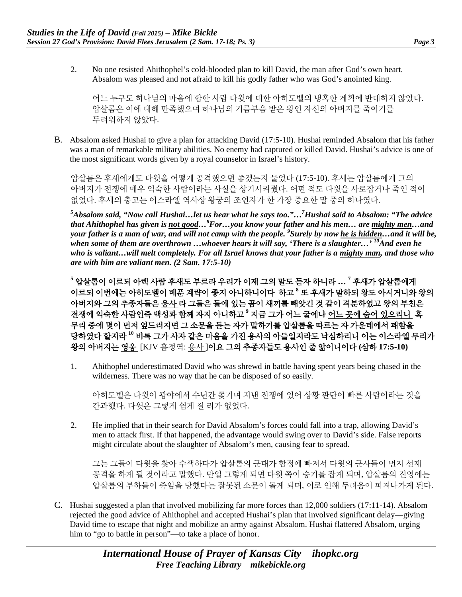2. No one resisted Ahithophel's cold-blooded plan to kill David, the man after God's own heart. Absalom was pleased and not afraid to kill his godly father who was God's anointed king.

어느 누구도 하나님의 마음에 합한 사람 다윗에 대한 아히도벨의 냉혹한 계획에 반대하지 않았다. 압살롬은 이에 대해 만족했으며 하나님의 기름부음 받은 왕인 자신의 아버지를 죽이기를 두려워하지 않았다.

B. Absalom asked Hushai to give a plan for attacking David (17:5-10). Hushai reminded Absalom that his father was a man of remarkable military abilities. No enemy had captured or killed David. Hushai's advice is one of the most significant words given by a royal counselor in Israel's history.

압살롬은 후새에게도 다윗을 어떻게 공격했으면 좋겠는지 물었다 (17:5-10). 후새는 압살롬에게 그의 아버지가 전쟁에 매우 익숙한 사람이라는 사실을 상기시켜줬다. 어떤 적도 다윗을 사로잡거나 죽인 적이 없었다. 후새의 충고는 이스라엘 역사상 왕궁의 조언자가 한 가장 중요한 말 중의 하나였다.

*5 Absalom said, "Now call Hushai…let us hear what he says too."…7 Hushai said to Absalom: "The advice that Ahithophel has given is not good…<sup>8</sup> For…you know your father and his men… are mighty men…and your father is a man of war, and will not camp with the people. 9 Surely by now he is hidden…and it will be,*  when some of them are overthrown ...whoever hears it will say, 'There is a slaughter...' <sup>10</sup>And even he *who is valiant…will melt completely. For all Israel knows that your father is a mighty man, and those who are with him are valiant men. (2 Sam. 17:5-10)*

**<sup>5</sup>** 압살롬이 이르되 아렉 사람 후새도 부르라 우리가 이제 그의 말도 듣자 하니라 **… 7** 후새가 압살롬에게 이르되 이번에는 아히도벨이 베푼 계략이 좋지 아니하니이다 하고 **<sup>8</sup>** 또 후새가 말하되 왕도 아시거니와 왕의 아버지와 그의 추종자들은 용사 라 그들은 들에 있는 곰이 새끼를 빼앗긴 것 같이 격분하였고 왕의 부친은 전쟁에 익숙한 사람인즉 백성과 함께 자지 아니하고 **<sup>9</sup>** 지금 그가 어느 굴에나 어느 곳에 숨어 있으리니 혹 무리 중에 몇이 먼저 엎드러지면 그 소문을 듣는 자가 말하기를 압살롬을 따르는 자 가운데에서 패함을 당하였다 할지라 **<sup>10</sup>** 비록 그가 사자 같은 마음을 가진 용사의 아들일지라도 낙심하리니 이는 이스라엘 무리가 왕의 아버지는 영웅 [KJV 흠정역: 용사 ]이요 그의 추종자들도 용사인 줄 앎이니이다 **(**삼하 **17:5-10)**

1. Ahithophel underestimated David who was shrewd in battle having spent years being chased in the wilderness. There was no way that he can be disposed of so easily.

아히도벨은 다윗이 광야에서 수년간 쫓기며 지낸 전쟁에 있어 상황 판단이 빠른 사람이라는 것을 간과했다. 다윗은 그렇게 쉽게 질 리가 없었다.

2. He implied that in their search for David Absalom's forces could fall into a trap, allowing David's men to attack first. If that happened, the advantage would swing over to David's side. False reports might circulate about the slaughter of Absalom's men, causing fear to spread.

그는 그들이 다윗을 찾아 수색하다가 압살롬의 군대가 함정에 빠져서 다윗의 군사들이 먼저 선제 공격을 하게 될 것이라고 말했다. 만일 그렇게 되면 다윗 쪽이 승기를 잡게 되며, 압살롬의 진영에는 압살롬의 부하들이 죽임을 당했다는 잘못된 소문이 돌게 되며, 이로 인해 두려움이 퍼져나가게 된다.

C. Hushai suggested a plan that involved mobilizing far more forces than 12,000 soldiers (17:11-14). Absalom rejected the good advice of Ahithophel and accepted Hushai's plan that involved significant delay—giving David time to escape that night and mobilize an army against Absalom. Hushai flattered Absalom, urging him to "go to battle in person"—to take a place of honor.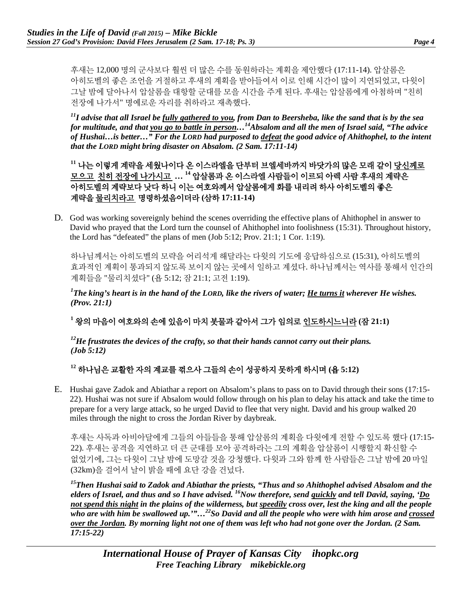후새는 12,000 명의 군사보다 훨씬 더 많은 수를 동원하라는 계획을 제안했다 (17:11-14). 압살롬은 아히도벨의 좋은 조언을 거절하고 후새의 계획을 받아들여서 이로 인해 시간이 많이 지연되었고, 다윗이 그날 밤에 달아나서 압살롬을 대항할 군대를 모을 시간을 주게 된다. 후새는 압살롬에게 아첨하며 "친히 전장에 나가서" 명예로운 자리를 취하라고 재촉했다.

*11I advise that all Israel be fully gathered to you, from Dan to Beersheba, like the sand that is by the sea for multitude, and that you go to battle in person…14Absalom and all the men of Israel said, "The advice of Hushai…is better…" For the LORD had purposed to defeat the good advice of Ahithophel, to the intent that the LORD might bring disaster on Absalom. (2 Sam. 17:11-14)*

**<sup>11</sup>** 나는 이렇게 계략을 세웠나이다 온 이스라엘을 단부터 브엘세바까지 바닷가의 많은 모래 같이 당신께로 모으고 친히 전장에 나가시고 **… <sup>14</sup>** 압살롬과 온 이스라엘 사람들이 이르되 아렉 사람 후새의 계략은 아히도벨의 계략보다 낫다 하니 이는 여호와께서 압살롬에게 화를 내리려 하사 아히도벨의 좋은 계략을 물리치라고 명령하셨음이더라 **(**삼하 **17:11-14)**

D. God was working sovereignly behind the scenes overriding the effective plans of Ahithophel in answer to David who prayed that the Lord turn the counsel of Ahithophel into foolishness (15:31). Throughout history, the Lord has "defeated" the plans of men (Job 5:12; Prov. 21:1; 1 Cor. 1:19).

하나님께서는 아히도벨의 모략을 어리석게 해달라는 다윗의 기도에 응답하심으로 (15:31), 아히도벨의 효과적인 계획이 통과되지 않도록 보이지 않는 곳에서 일하고 계셨다. 하나님께서는 역사를 통해서 인간의 계획들을 "물리치셨다" (욥 5:12; 잠 21:1; 고전 1:19).

*1 The king's heart is in the hand of the LORD, like the rivers of water; He turns it wherever He wishes. (Prov. 21:1)*

**<sup>1</sup>** 왕의 마음이 여호와의 손에 있음이 마치 봇물과 같아서 그가 임의로 인도하시느니라 **(**잠 **21:1)**

*12He frustrates the devices of the crafty, so that their hands cannot carry out their plans. (Job 5:12)*

## **<sup>12</sup>** 하나님은 교활한 자의 계교를 꺾으사 그들의 손이 성공하지 못하게 하시며 **(**욥 **5:12)**

E. Hushai gave Zadok and Abiathar a report on Absalom's plans to pass on to David through their sons (17:15- 22). Hushai was not sure if Absalom would follow through on his plan to delay his attack and take the time to prepare for a very large attack, so he urged David to flee that very night. David and his group walked 20 miles through the night to cross the Jordan River by daybreak.

후새는 사독과 아비아달에게 그들의 아들들을 통해 압살롬의 계획을 다윗에게 전할 수 있도록 했다 (17:15- 22). 후새는 공격을 지연하고 더 큰 군대를 모아 공격하라는 그의 계획을 압살롬이 시행할지 확신할 수 없었기에, 그는 다윗이 그날 밤에 도망갈 것을 강청했다. 다윗과 그와 함께 한 사람들은 그날 밤에 20 마일 (32km)을 걸어서 날이 밝을 때에 요단 강을 건넜다.

*15Then Hushai said to Zadok and Abiathar the priests, "Thus and so Ahithophel advised Absalom and the elders of Israel, and thus and so I have advised. 16Now therefore, send quickly and tell David, saying, 'Do not spend this night in the plains of the wilderness, but speedily cross over, lest the king and all the people who are with him be swallowed up.'"…22So David and all the people who were with him arose and crossed over the Jordan. By morning light not one of them was left who had not gone over the Jordan. (2 Sam. 17:15-22)*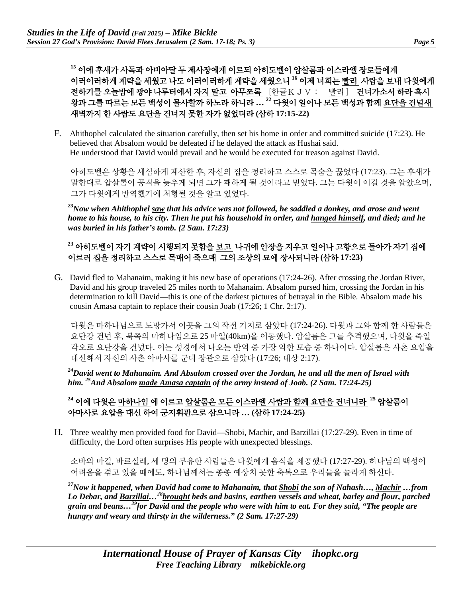**<sup>15</sup>** 이에 후새가 사독과 아비아달 두 제사장에게 이르되 아히도벨이 압살롬과 이스라엘 장로들에게 이러이러하게 계략을 세웠고 나도 이러이러하게 계략을 세웠으니 **<sup>16</sup>** 이제 너희는 빨리 사람을 보내 다윗에게 전하기를 오늘밤에 광야 나루터에서 자지 말고 아무쪼록 [한글K J V : 빨리] 건너가소서 하라 혹시 왕과 그를 따르는 모든 백성이 몰사할까 하노라 하니라 **… <sup>22</sup>** 다윗이 일어나 모든 백성과 함께 요단을 건널새 새벽까지 한 사람도 요단을 건너지 못한 자가 없었더라 **(**삼하 **17:15-22)**

F. Ahithophel calculated the situation carefully, then set his home in order and committed suicide (17:23). He believed that Absalom would be defeated if he delayed the attack as Hushai said. He understood that David would prevail and he would be executed for treason against David.

아히도벨은 상황을 세심하게 계산한 후, 자신의 집을 정리하고 스스로 목숨을 끊었다 (17:23). 그는 후새가 말한대로 압살롬이 공격을 늦추게 되면 그가 패하게 될 것이라고 믿었다. 그는 다윗이 이길 것을 알았으며, 그가 다윗에게 반역했기에 처형될 것을 알고 있었다.

*23Now when Ahithophel saw that his advice was not followed, he saddled a donkey, and arose and went home to his house, to his city. Then he put his household in order, and hanged himself, and died; and he was buried in his father's tomb. (2 Sam. 17:23)*

## **<sup>23</sup>** 아히도벨이 자기 계략이 시행되지 못함을 보고 나귀에 안장을 지우고 일어나 고향으로 돌아가 자기 집에 이르러 집을 정리하고 스스로 목매어 죽으매 그의 조상의 묘에 장사되니라 **(**삼하 **17:23)**

G. David fled to Mahanaim, making it his new base of operations (17:24-26). After crossing the Jordan River, David and his group traveled 25 miles north to Mahanaim. Absalom pursed him, crossing the Jordan in his determination to kill David—this is one of the darkest pictures of betrayal in the Bible. Absalom made his cousin Amasa captain to replace their cousin Joab (17:26; 1 Chr. 2:17).

다윗은 마하나님으로 도망가서 이곳을 그의 작전 기지로 삼았다 (17:24-26). 다윗과 그와 함께 한 사람들은 요단강 건넌 후, 북쪽의 마하나임으로 25 마일(40km)을 이동했다. 압살롬은 그를 추격했으며, 다윗을 죽일 각오로 요단강을 건넜다. 이는 성경에서 나오는 반역 중 가장 악한 모습 중 하나이다. 압살롬은 사촌 요압을 대신해서 자신의 사촌 아마사를 군대 장관으로 삼았다 (17:26; 대상 2:17).

*24David went to Mahanaim. And Absalom crossed over the Jordan, he and all the men of Israel with him. 25And Absalom made Amasa captain of the army instead of Joab. (2 Sam. 17:24-25)*

## **<sup>24</sup>** 이에 다윗은 마하나임 에 이르고 압살롬은 모든 이스라엘 사람과 함께 요단을 건너니라 **<sup>25</sup>** 압살롬이 아마사로 요압을 대신 하여 군지휘관으로 삼으니라 **… (**삼하 **17:24-25)**

H. Three wealthy men provided food for David—Shobi, Machir, and Barzillai (17:27-29). Even in time of difficulty, the Lord often surprises His people with unexpected blessings.

소바와 마길, 바르실래, 세 명의 부유한 사람들은 다윗에게 음식을 제공했다 (17:27-29). 하나님의 백성이 어려움을 겪고 있을 때에도, 하나님께서는 종종 예상치 못한 축복으로 우리들을 놀라게 하신다.

*27Now it happened, when David had come to Mahanaim, that Shobi the son of Nahash…, Machir …from Lo Debar, and Barzillai…28brought beds and basins, earthen vessels and wheat, barley and flour, parched grain and beans…29for David and the people who were with him to eat. For they said, "The people are hungry and weary and thirsty in the wilderness." (2 Sam. 17:27-29)*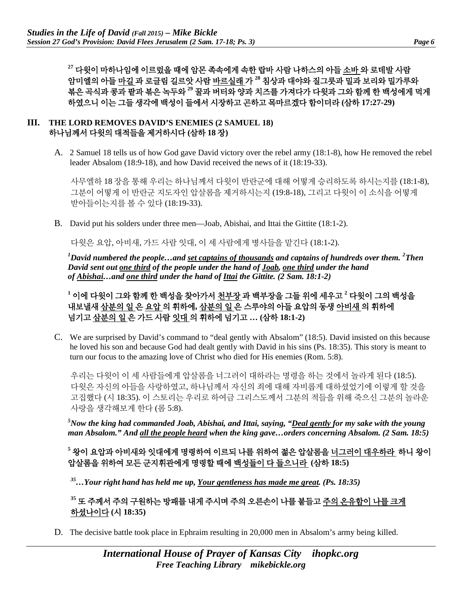**<sup>27</sup>** 다윗이 마하나임에 이르렀을 때에 암몬 족속에게 속한 랍바 사람 나하스의 아들 소바 와 로데발 사람 암미엘의 아들 마길 과 로글림 길르앗 사람 바르실래 가 **<sup>28</sup>** 침상과 대야와 질그릇과 밀과 보리와 밀가루와 볶은 곡식과 콩과 팥과 볶은 녹두와 **<sup>29</sup>** 꿀과 버터와 양과 치즈를 가져다가 다윗과 그와 함께 한 백성에게 먹게 하였으니 이는 그들 생각에 백성이 들에서 시장하고 곤하고 목마르겠다 함이더라 **(**삼하 **17:27-29)**

#### **III. THE LORD REMOVES DAVID'S ENEMIES (2 SAMUEL 18)**  하나님께서 다윗의 대적들을 제거하시다 **(**삼하 **18** 장**)**

A. 2 Samuel 18 tells us of how God gave David victory over the rebel army (18:1-8), how He removed the rebel leader Absalom (18:9-18), and how David received the news of it (18:19-33).

사무엘하 18 장을 통해 우리는 하나님께서 다윗이 반란군에 대해 어떻게 승리하도록 하시는지를 (18:1-8), 그분이 어떻게 이 반란군 지도자인 압살롬을 제거하시는지 (19:8-18), 그리고 다윗이 이 소식을 어떻게 받아들이는지를 볼 수 있다 (18:19-33).

B. David put his solders under three men—Joab, Abishai, and Ittai the Gittite (18:1-2).

다윗은 요압, 아비새, 가드 사람 잇대, 이 세 사람에게 병사들을 맡긴다 (18:1-2).

*1 David numbered the people…and set captains of thousands and captains of hundreds over them. <sup>2</sup> Then David sent out one third of the people under the hand of Joab, one third under the hand of Abishai…and one third under the hand of Ittai the Gittite. (2 Sam. 18:1-2)*

**<sup>1</sup>** 이에 다윗이 그와 함께 한 백성을 찾아가서 천부장 과 백부장을 그들 위에 세우고 **<sup>2</sup>** 다윗이 그의 백성을 내보낼새 삼분의 일 은 요압 의 휘하에**,** 삼분의 일 은 스루야의 아들 요압의 동생 아비새 의 휘하에 넘기고 삼분의 일 은 가드 사람 잇대 의 휘하에 넘기고 **… (**삼하 **18:1-2)**

C. We are surprised by David's command to "deal gently with Absalom" (18:5). David insisted on this because he loved his son and because God had dealt gently with David in his sins (Ps. 18:35). This story is meant to turn our focus to the amazing love of Christ who died for His enemies (Rom. 5:8).

우리는 다윗이 이 세 사람들에게 압살롬을 너그러이 대하라는 명령을 하는 것에서 놀라게 된다 (18:5). 다윗은 자신의 아들을 사랑하였고, 하나님께서 자신의 죄에 대해 자비롭게 대하셨었기에 이렇게 할 것을 고집했다 (시 18:35). 이 스토리는 우리로 하여금 그리스도께서 그분의 적들을 위해 죽으신 그분의 놀라운 사랑을 생각해보게 한다 (롬 5:8).

*5 Now the king had commanded Joab, Abishai, and Ittai, saying, "Deal gently for my sake with the young man Absalom." And all the people heard when the king gave…orders concerning Absalom. (2 Sam. 18:5)*

**<sup>5</sup>** 왕이 요압과 아비새와 잇대에게 명령하여 이르되 나를 위하여 젊은 압살롬을 너그러이 대우하라 하니 왕이 압살롬을 위하여 모든 군지휘관에게 명령할 때에 백성들이 다 들으니라 **(**삼하 **18:5)**

*35…Your right hand has held me up, Your gentleness has made me great. (Ps. 18:35)*

## **<sup>35</sup>** 또 주께서 주의 구원하는 방패를 내게 주시며 주의 오른손이 나를 붙들고 주의 온유함이 나를 크게 하셨나이다 **(**시 **18:35)**

D. The decisive battle took place in Ephraim resulting in 20,000 men in Absalom's army being killed.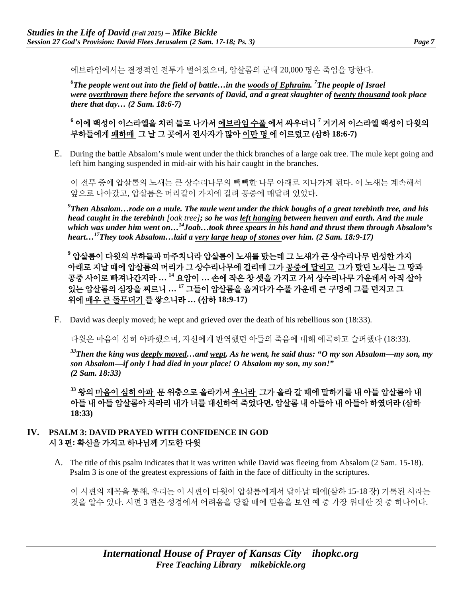에브라임에서는 결정적인 전투가 벌어졌으며, 압살롬의 군대 20,000 명은 죽임을 당한다.

*6 The people went out into the field of battle…in the woods of Ephraim. <sup>7</sup> The people of Israel were overthrown there before the servants of David, and a great slaughter of twenty thousand took place there that day… (2 Sam. 18:6-7)*

## **<sup>6</sup>** 이에 백성이 이스라엘을 치러 들로 나가서 에브라임 수풀 에서 싸우더니 **<sup>7</sup>** 거기서 이스라엘 백성이 다윗의 부하들에게 패하매 그 날 그 곳에서 전사자가 많아 이만 명 에 이르렀고 **(**삼하 **18:6-7)**

E. During the battle Absalom's mule went under the thick branches of a large oak tree. The mule kept going and left him hanging suspended in mid-air with his hair caught in the branches.

이 전투 중에 압살롬의 노새는 큰 상수리나무의 빽빽한 나무 아래로 지나가게 된다. 이 노새는 계속해서 앞으로 나아갔고, 압살롬은 머리칼이 가지에 걸려 공중에 매달려 있었다.

*9 Then Absalom…rode on a mule. The mule went under the thick boughs of a great terebinth tree, and his head caught in the terebinth [oak tree]; so he was left hanging between heaven and earth. And the mule*  which was under him went on...<sup>14</sup>Joab...took three spears in his hand and thrust them through Absalom's *heart…17They took Absalom…laid a very large heap of stones over him. (2 Sam. 18:9-17)*

**<sup>9</sup>** 압살롬이 다윗의 부하들과 마주치니라 압살롬이 노새를 탔는데 그 노새가 큰 상수리나무 번성한 가지 아래로 지날 때에 압살롬의 머리가 그 상수리나무에 걸리매 그가 공중에 달리고 그가 탔던 노새는 그 땅과 공중 사이로 빠져나간지라 **… <sup>14</sup>** 요압이 **…** 손에 작은 창 셋을 가지고 가서 상수리나무 가운데서 아직 살아 있는 압살롬의 심장을 찌르니 **… <sup>17</sup>** 그들이 압살롬을 옮겨다가 수풀 가운데 큰 구멍에 그를 던지고 그 위에 매우 큰 돌무더기 를 쌓으니라 **… (**삼하 **18:9-17)**

F. David was deeply moved; he wept and grieved over the death of his rebellious son (18:33).

다윗은 마음이 심히 아파했으며, 자신에게 반역했던 아들의 죽음에 대해 애곡하고 슬퍼했다 (18:33).

*33Then the king was deeply moved…and wept. As he went, he said thus: "O my son Absalom—my son, my son Absalom—if only I had died in your place! O Absalom my son, my son!" (2 Sam. 18:33)*

**<sup>33</sup>** 왕의 마음이 심히 아파 문 위충으로 올라가서 우니라 그가 올라 갈 때에 말하기를 내 아들 압살롬아 내 아들 내 아들 압살롬아 차라리 내가 너를 대신하여 죽었다면**,** 압살롬 내 아들아 내 아들아 하였더라 **(**삼하 **18:33)**

#### **IV. PSALM 3: DAVID PRAYED WITH CONFIDENCE IN GOD**  시 **3** 편**:** 확신을 가지고 하나님께 기도한 다윗

A. The title of this psalm indicates that it was written while David was fleeing from Absalom (2 Sam. 15-18). Psalm 3 is one of the greatest expressions of faith in the face of difficulty in the scriptures.

이 시편의 제목을 통해, 우리는 이 시편이 다윗이 압살롬에게서 달아날 때에(삼하 15-18 장) 기록된 시라는 것을 알수 있다. 시편 3 편은 성경에서 어려움을 당할 때에 믿음을 보인 예 중 가장 위대한 것 중 하나이다.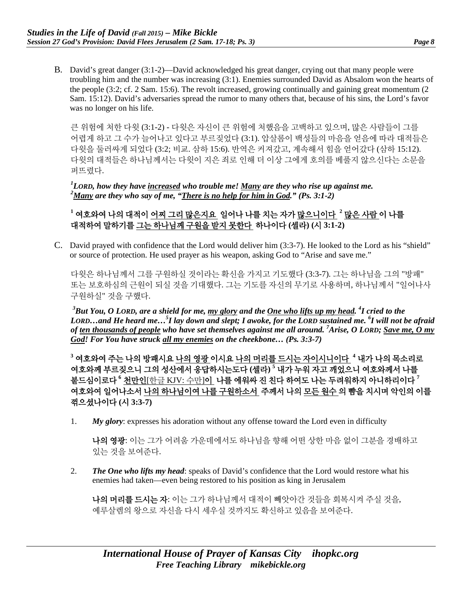B. David's great danger (3:1-2)—David acknowledged his great danger, crying out that many people were troubling him and the number was increasing (3:1). Enemies surrounded David as Absalom won the hearts of the people (3:2; cf. 2 Sam. 15:6). The revolt increased, growing continually and gaining great momentum (2 Sam. 15:12). David's adversaries spread the rumor to many others that, because of his sins, the Lord's favor was no longer on his life.

큰 위험에 처한 다윗 (3:1-2) - 다윗은 자신이 큰 위험에 처했음을 고백하고 있으며, 많은 사람들이 그를 어렵게 하고 그 수가 늘어나고 있다고 부르짖었다 (3:1). 압살롬이 백성들의 마음을 얻음에 따라 대적들은 다윗을 둘러싸게 되었다 (3:2; 비교. 삼하 15:6). 반역은 커져갔고, 계속해서 힘을 얻어갔다 (삼하 15:12). 다윗의 대적들은 하나님께서는 다윗이 지은 죄로 인해 더 이상 그에게 호의를 베풀지 않으신다는 소문을 퍼뜨렸다.

*1 LORD, how they have increased who trouble me! Many are they who rise up against me. 2 Many are they who say of me, "There is no help for him in God." (Ps. 3:1-2)*

## **<sup>1</sup>** 여호와여 나의 대적이 어찌 그리 많은지요 일어나 나를 치는 자가 많으니이다 **<sup>2</sup>** 많은 사람 이 나를 대적하여 말하기를 그는 하나님께 구원을 받지 못한다 하나이다 **(**셀라**) (**시 **3:1-2)**

C. David prayed with confidence that the Lord would deliver him (3:3-7). He looked to the Lord as his "shield" or source of protection. He used prayer as his weapon, asking God to "Arise and save me."

다윗은 하나님께서 그를 구원하실 것이라는 확신을 가지고 기도했다 (3:3-7). 그는 하나님을 그의 "방패" 또는 보호하심의 근원이 되실 것을 기대했다. 그는 기도를 자신의 무기로 사용하며, 하나님께서 "일어나사 구원하실" 것을 구했다.

*3 But You, O LORD, are a shield for me, my glory and the One who lifts up my head. 4 I cried to the LORD…and He heard me…5 I lay down and slept; I awoke, for the LORD sustained me. <sup>6</sup> I will not be afraid of ten thousands of people who have set themselves against me all around. 7 Arise, O LORD; Save me, O my God! For You have struck all my enemies on the cheekbone… (Ps. 3:3-7)*

**<sup>3</sup>** 여호와여 주는 나의 방패시요 나의 영광 이시요 나의 머리를 드시는 자이시니이다 **<sup>4</sup>** 내가 나의 목소리로 여호와께 부르짖으니 그의 성산에서 응답하시는도다 **(**셀라**) <sup>5</sup>** 내가 누워 자고 깨었으니 여호와께서 나를 붙드심이로다 **<sup>6</sup>** 천만인[한글 KJV: 수만]이 나를 에워싸 진 친다 하여도 나는 두려워하지 아니하리이다 **<sup>7</sup>** 여호와여 일어나소서 나의 하나님이여 나를 구원하소서 주께서 나의 모든 원수 의 뺨을 치시며 악인의 이를 꺾으셨나이다 **(**시 **3:3-7)**

1. *My glory*: expresses his adoration without any offense toward the Lord even in difficulty

나의 영광: 이는 그가 어려움 가운데에서도 하나님을 향해 어떤 상한 마음 없이 그분을 경배하고 있는 것을 보여준다.

2. *The One who lifts my head*: speaks of David's confidence that the Lord would restore what his enemies had taken—even being restored to his position as king in Jerusalem

나의 머리를 드시는 자: 이는 그가 하나님께서 대적이 빼앗아간 것들을 회복시켜 주실 것을, 예루살렘의 왕으로 자신을 다시 세우실 것까지도 확신하고 있음을 보여준다.